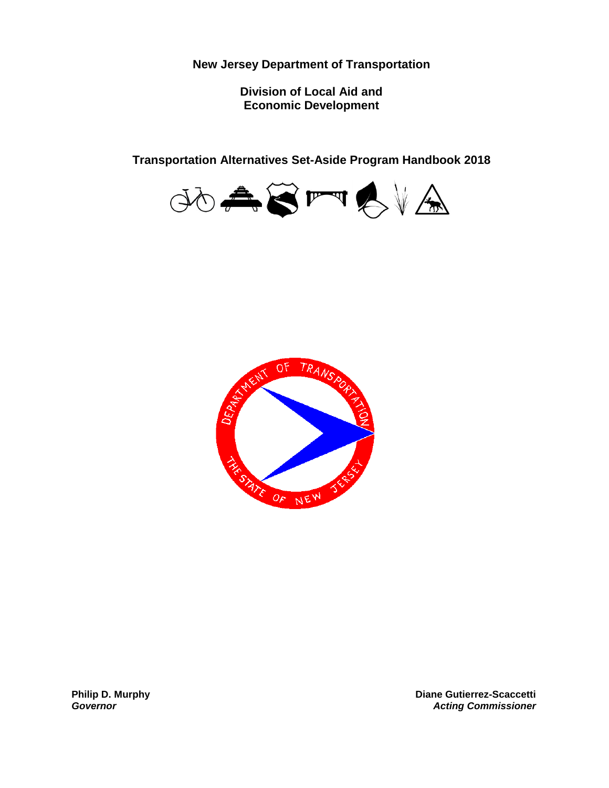**New Jersey Department of Transportation**

**Division of Local Aid and Economic Development**

**Transportation Alternatives Set-Aside Program Handbook 2018**





**Philip D. Murphy** *Governor*

**Diane Gutierrez-Scaccetti** *Acting Commissioner*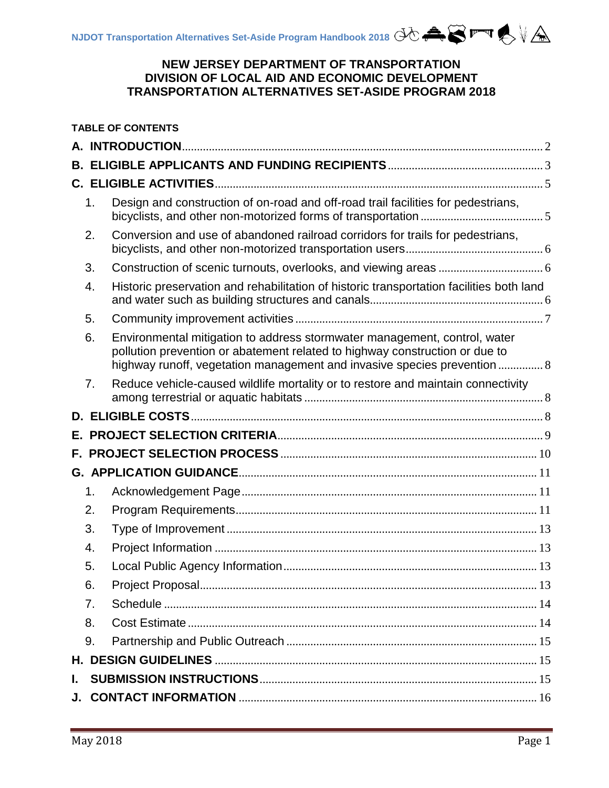# **NEW JERSEY DEPARTMENT OF TRANSPORTATION DIVISION OF LOCAL AID AND ECONOMIC DEVELOPMENT TRANSPORTATION ALTERNATIVES SET-ASIDE PROGRAM 2018**

| <b>TABLE OF CONTENTS</b> |                |                                                                                                                                                                                                                                      |  |
|--------------------------|----------------|--------------------------------------------------------------------------------------------------------------------------------------------------------------------------------------------------------------------------------------|--|
|                          |                |                                                                                                                                                                                                                                      |  |
|                          |                |                                                                                                                                                                                                                                      |  |
|                          |                |                                                                                                                                                                                                                                      |  |
|                          | 1.             | Design and construction of on-road and off-road trail facilities for pedestrians,                                                                                                                                                    |  |
|                          | 2.             | Conversion and use of abandoned railroad corridors for trails for pedestrians,                                                                                                                                                       |  |
|                          | 3.             |                                                                                                                                                                                                                                      |  |
|                          | 4.             | Historic preservation and rehabilitation of historic transportation facilities both land                                                                                                                                             |  |
|                          | 5.             |                                                                                                                                                                                                                                      |  |
|                          | 6.             | Environmental mitigation to address stormwater management, control, water<br>pollution prevention or abatement related to highway construction or due to<br>highway runoff, vegetation management and invasive species prevention  8 |  |
|                          | 7 <sub>1</sub> | Reduce vehicle-caused wildlife mortality or to restore and maintain connectivity                                                                                                                                                     |  |
|                          |                |                                                                                                                                                                                                                                      |  |
|                          |                |                                                                                                                                                                                                                                      |  |
|                          |                |                                                                                                                                                                                                                                      |  |
|                          |                |                                                                                                                                                                                                                                      |  |
|                          | 1.             |                                                                                                                                                                                                                                      |  |
|                          | 2.             |                                                                                                                                                                                                                                      |  |
|                          | 3.             |                                                                                                                                                                                                                                      |  |
|                          | 4.             |                                                                                                                                                                                                                                      |  |
|                          | 5.             |                                                                                                                                                                                                                                      |  |
|                          | 6.             |                                                                                                                                                                                                                                      |  |
|                          | 7.             |                                                                                                                                                                                                                                      |  |
|                          | 8.             |                                                                                                                                                                                                                                      |  |
|                          | 9.             |                                                                                                                                                                                                                                      |  |
|                          |                |                                                                                                                                                                                                                                      |  |
| L.                       |                |                                                                                                                                                                                                                                      |  |
|                          |                |                                                                                                                                                                                                                                      |  |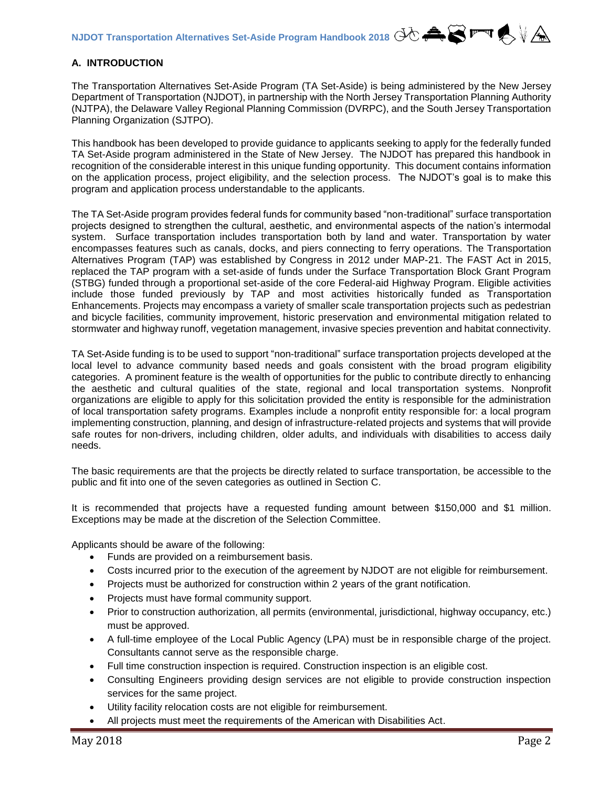# <span id="page-2-0"></span>**A. INTRODUCTION**

The Transportation Alternatives Set-Aside Program (TA Set-Aside) is being administered by the New Jersey Department of Transportation (NJDOT), in partnership with the North Jersey Transportation Planning Authority (NJTPA), the Delaware Valley Regional Planning Commission (DVRPC), and the South Jersey Transportation Planning Organization (SJTPO).

This handbook has been developed to provide guidance to applicants seeking to apply for the federally funded TA Set-Aside program administered in the State of New Jersey. The NJDOT has prepared this handbook in recognition of the considerable interest in this unique funding opportunity. This document contains information on the application process, project eligibility, and the selection process. The NJDOT's goal is to make this program and application process understandable to the applicants.

The TA Set-Aside program provides federal funds for community based "non-traditional" surface transportation projects designed to strengthen the cultural, aesthetic, and environmental aspects of the nation's intermodal system. Surface transportation includes transportation both by land and water. Transportation by water encompasses features such as canals, docks, and piers connecting to ferry operations. The Transportation Alternatives Program (TAP) was established by Congress in 2012 under MAP-21. The FAST Act in 2015, replaced the TAP program with a set-aside of funds under the Surface Transportation Block Grant Program (STBG) funded through a proportional set-aside of the core Federal-aid Highway Program. Eligible activities include those funded previously by TAP and most activities historically funded as Transportation Enhancements. Projects may encompass a variety of smaller scale transportation projects such as pedestrian and bicycle facilities, community improvement, historic preservation and environmental mitigation related to stormwater and highway runoff, vegetation management, invasive species prevention and habitat connectivity.

TA Set-Aside funding is to be used to support "non-traditional" surface transportation projects developed at the local level to advance community based needs and goals consistent with the broad program eligibility categories. A prominent feature is the wealth of opportunities for the public to contribute directly to enhancing the aesthetic and cultural qualities of the state, regional and local transportation systems. Nonprofit organizations are eligible to apply for this solicitation provided the entity is responsible for the administration of local transportation safety programs. Examples include a nonprofit entity responsible for: a local program implementing construction, planning, and design of infrastructure-related projects and systems that will provide safe routes for non-drivers, including children, older adults, and individuals with disabilities to access daily needs.

The basic requirements are that the projects be directly related to surface transportation, be accessible to the public and fit into one of the seven categories as outlined in Section C.

It is recommended that projects have a requested funding amount between \$150,000 and \$1 million. Exceptions may be made at the discretion of the Selection Committee.

Applicants should be aware of the following:

- Funds are provided on a reimbursement basis.
- Costs incurred prior to the execution of the agreement by NJDOT are not eligible for reimbursement.
- Projects must be authorized for construction within 2 years of the grant notification.
- Projects must have formal community support.
- Prior to construction authorization, all permits (environmental, jurisdictional, highway occupancy, etc.) must be approved.
- A full-time employee of the Local Public Agency (LPA) must be in responsible charge of the project. Consultants cannot serve as the responsible charge.
- Full time construction inspection is required. Construction inspection is an eligible cost.
- Consulting Engineers providing design services are not eligible to provide construction inspection services for the same project.
- Utility facility relocation costs are not eligible for reimbursement.
- All projects must meet the requirements of the American with Disabilities Act.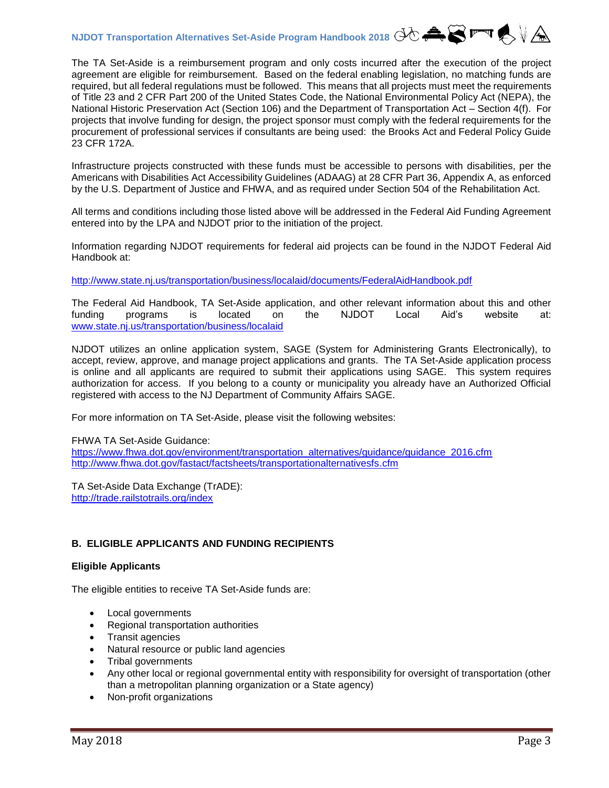The TA Set-Aside is a reimbursement program and only costs incurred after the execution of the project agreement are eligible for reimbursement. Based on the federal enabling legislation, no matching funds are required, but all federal regulations must be followed. This means that all projects must meet the requirements of Title 23 and 2 CFR Part 200 of the United States Code, the National Environmental Policy Act (NEPA), the National Historic Preservation Act (Section 106) and the Department of Transportation Act – Section 4(f). For projects that involve funding for design, the project sponsor must comply with the federal requirements for the procurement of professional services if consultants are being used: the Brooks Act and Federal Policy Guide 23 CFR 172A.

Infrastructure projects constructed with these funds must be accessible to persons with disabilities, per the Americans with Disabilities Act Accessibility Guidelines (ADAAG) at 28 CFR Part 36, Appendix A, as enforced by the U.S. Department of Justice and FHWA, and as required under Section 504 of the Rehabilitation Act.

All terms and conditions including those listed above will be addressed in the Federal Aid Funding Agreement entered into by the LPA and NJDOT prior to the initiation of the project.

Information regarding NJDOT requirements for federal aid projects can be found in the NJDOT Federal Aid Handbook at:

<http://www.state.nj.us/transportation/business/localaid/documents/FederalAidHandbook.pdf>

The Federal Aid Handbook, TA Set-Aside application, and other relevant information about this and other funding programs is located on the NJDOT Local Aid's website at: [www.state.nj.us/transportation/business/localaid](http://www.state.nj.us/transportation/business/localaid)

NJDOT utilizes an online application system, SAGE (System for Administering Grants Electronically), to accept, review, approve, and manage project applications and grants. The TA Set-Aside application process is online and all applicants are required to submit their applications using SAGE. This system requires authorization for access. If you belong to a county or municipality you already have an Authorized Official registered with access to the NJ Department of Community Affairs SAGE.

For more information on TA Set-Aside, please visit the following websites:

FHWA TA Set-Aside Guidance:

[https://www.fhwa.dot.gov/environment/transportation\\_alternatives/guidance/guidance\\_2016.cfm](https://www.fhwa.dot.gov/environment/transportation_alternatives/guidance/guidance_2016.cfm) <http://www.fhwa.dot.gov/fastact/factsheets/transportationalternativesfs.cfm>

TA Set-Aside Data Exchange (TrADE): <http://trade.railstotrails.org/index>

# <span id="page-3-0"></span>**B. ELIGIBLE APPLICANTS AND FUNDING RECIPIENTS**

# **Eligible Applicants**

The eligible entities to receive TA Set-Aside funds are:

- Local governments
- Regional transportation authorities
- Transit agencies
- Natural resource or public land agencies
- Tribal governments
- Any other local or regional governmental entity with responsibility for oversight of transportation (other than a metropolitan planning organization or a State agency)
- Non-profit organizations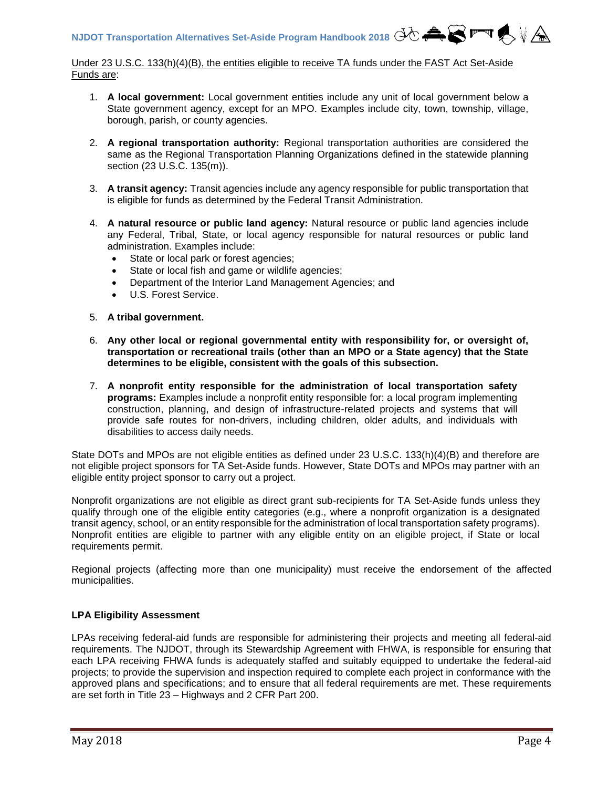Under 23 U.S.C. 133(h)(4)(B), the entities eligible to receive TA funds under the FAST Act Set-Aside Funds are:

- 1. **A local government:** Local government entities include any unit of local government below a State government agency, except for an MPO. Examples include city, town, township, village, borough, parish, or county agencies.
- 2. **A regional transportation authority:** Regional transportation authorities are considered the same as the Regional Transportation Planning Organizations defined in the statewide planning section (23 U.S.C. 135(m)).
- 3. **A transit agency:** Transit agencies include any agency responsible for public transportation that is eligible for funds as determined by the Federal Transit Administration.
- 4. **A natural resource or public land agency:** Natural resource or public land agencies include any Federal, Tribal, State, or local agency responsible for natural resources or public land administration. Examples include:
	- State or local park or forest agencies;
	- State or local fish and game or wildlife agencies;
	- Department of the Interior Land Management Agencies; and
	- U.S. Forest Service.
- 5. **A tribal government.**
- 6. **Any other local or regional governmental entity with responsibility for, or oversight of, transportation or recreational trails (other than an MPO or a State agency) that the State determines to be eligible, consistent with the goals of this subsection.**
- 7. **A nonprofit entity responsible for the administration of local transportation safety programs:** Examples include a nonprofit entity responsible for: a local program implementing construction, planning, and design of infrastructure-related projects and systems that will provide safe routes for non-drivers, including children, older adults, and individuals with disabilities to access daily needs.

State DOTs and MPOs are not eligible entities as defined under 23 U.S.C. 133(h)(4)(B) and therefore are not eligible project sponsors for TA Set-Aside funds. However, State DOTs and MPOs may partner with an eligible entity project sponsor to carry out a project.

Nonprofit organizations are not eligible as direct grant sub-recipients for TA Set-Aside funds unless they qualify through one of the eligible entity categories (e.g., where a nonprofit organization is a designated transit agency, school, or an entity responsible for the administration of local transportation safety programs). Nonprofit entities are eligible to partner with any eligible entity on an eligible project, if State or local requirements permit.

Regional projects (affecting more than one municipality) must receive the endorsement of the affected municipalities.

# **LPA Eligibility Assessment**

LPAs receiving federal-aid funds are responsible for administering their projects and meeting all federal-aid requirements. The NJDOT, through its Stewardship Agreement with FHWA, is responsible for ensuring that each LPA receiving FHWA funds is adequately staffed and suitably equipped to undertake the federal-aid projects; to provide the supervision and inspection required to complete each project in conformance with the approved plans and specifications; and to ensure that all federal requirements are met. These requirements are set forth in Title 23 – Highways and 2 CFR Part 200.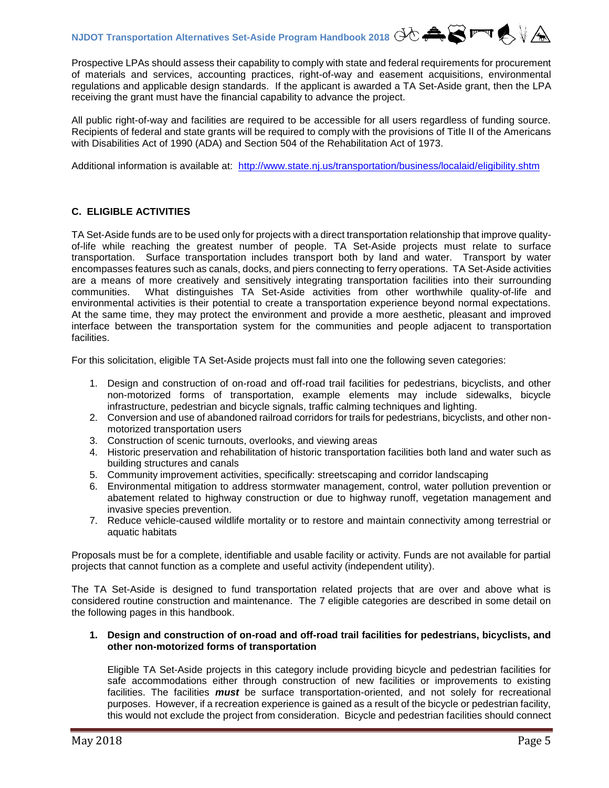Prospective LPAs should assess their capability to comply with state and federal requirements for procurement of materials and services, accounting practices, right-of-way and easement acquisitions, environmental regulations and applicable design standards. If the applicant is awarded a TA Set-Aside grant, then the LPA receiving the grant must have the financial capability to advance the project.

All public right-of-way and facilities are required to be accessible for all users regardless of funding source. Recipients of federal and state grants will be required to comply with the provisions of Title II of the Americans with Disabilities Act of 1990 (ADA) and Section 504 of the Rehabilitation Act of 1973.

Additional information is available at: <http://www.state.nj.us/transportation/business/localaid/eligibility.shtm>

# <span id="page-5-0"></span>**C. ELIGIBLE ACTIVITIES**

TA Set-Aside funds are to be used only for projects with a direct transportation relationship that improve qualityof-life while reaching the greatest number of people. TA Set-Aside projects must relate to surface transportation. Surface transportation includes transport both by land and water. Transport by water encompasses features such as canals, docks, and piers connecting to ferry operations. TA Set-Aside activities are a means of more creatively and sensitively integrating transportation facilities into their surrounding communities. What distinguishes TA Set-Aside activities from other worthwhile quality-of-life and environmental activities is their potential to create a transportation experience beyond normal expectations. At the same time, they may protect the environment and provide a more aesthetic, pleasant and improved interface between the transportation system for the communities and people adjacent to transportation facilities.

For this solicitation, eligible TA Set-Aside projects must fall into one the following seven categories:

- 1. Design and construction of on-road and off-road trail facilities for pedestrians, bicyclists, and other non-motorized forms of transportation, example elements may include sidewalks, bicycle infrastructure, pedestrian and bicycle signals, traffic calming techniques and lighting.
- 2. Conversion and use of abandoned railroad corridors for trails for pedestrians, bicyclists, and other nonmotorized transportation users
- 3. Construction of scenic turnouts, overlooks, and viewing areas
- 4. Historic preservation and rehabilitation of historic transportation facilities both land and water such as building structures and canals
- 5. Community improvement activities, specifically: streetscaping and corridor landscaping
- 6. Environmental mitigation to address stormwater management, control, water pollution prevention or abatement related to highway construction or due to highway runoff, vegetation management and invasive species prevention.
- 7. Reduce vehicle-caused wildlife mortality or to restore and maintain connectivity among terrestrial or aquatic habitats

Proposals must be for a complete, identifiable and usable facility or activity. Funds are not available for partial projects that cannot function as a complete and useful activity (independent utility).

The TA Set-Aside is designed to fund transportation related projects that are over and above what is considered routine construction and maintenance. The 7 eligible categories are described in some detail on the following pages in this handbook.

#### <span id="page-5-1"></span>**1. Design and construction of on-road and off-road trail facilities for pedestrians, bicyclists, and other non-motorized forms of transportation**

Eligible TA Set-Aside projects in this category include providing bicycle and pedestrian facilities for safe accommodations either through construction of new facilities or improvements to existing facilities. The facilities *must* be surface transportation-oriented, and not solely for recreational purposes. However, if a recreation experience is gained as a result of the bicycle or pedestrian facility, this would not exclude the project from consideration. Bicycle and pedestrian facilities should connect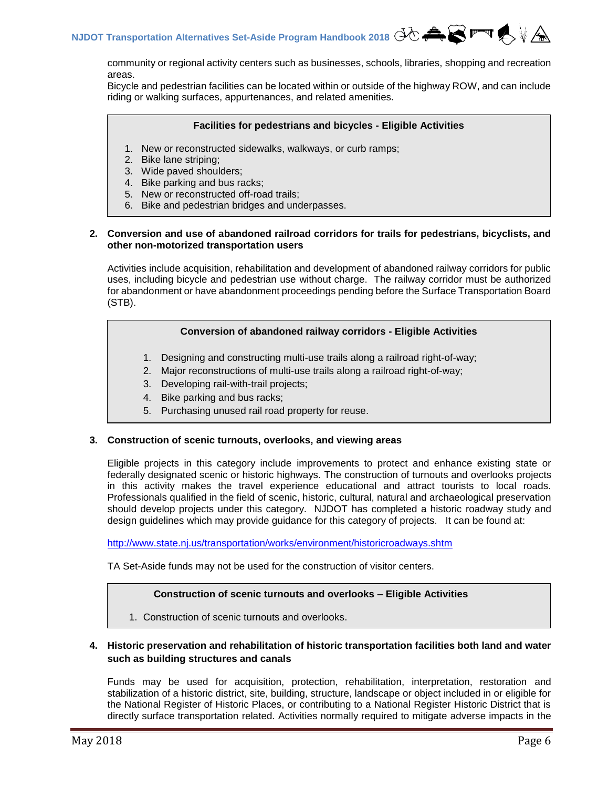community or regional activity centers such as businesses, schools, libraries, shopping and recreation areas.

Bicycle and pedestrian facilities can be located within or outside of the highway ROW, and can include riding or walking surfaces, appurtenances, and related amenities.

#### **Facilities for pedestrians and bicycles - Eligible Activities**

- 1. New or reconstructed sidewalks, walkways, or curb ramps;
- 2. Bike lane striping;
- 3. Wide paved shoulders;
- 4. Bike parking and bus racks;
- 5. New or reconstructed off-road trails;
- 6. Bike and pedestrian bridges and underpasses.

#### <span id="page-6-0"></span>**2. Conversion and use of abandoned railroad corridors for trails for pedestrians, bicyclists, and other non-motorized transportation users**

Activities include acquisition, rehabilitation and development of abandoned railway corridors for public uses, including bicycle and pedestrian use without charge. The railway corridor must be authorized for abandonment or have abandonment proceedings pending before the Surface Transportation Board (STB).

# **Conversion of abandoned railway corridors - Eligible Activities**

- 1. Designing and constructing multi-use trails along a railroad right-of-way;
- 2. Major reconstructions of multi-use trails along a railroad right-of-way;
- 3. Developing rail-with-trail projects;
- 4. Bike parking and bus racks;
- 5. Purchasing unused rail road property for reuse.

#### <span id="page-6-1"></span>**3. Construction of scenic turnouts, overlooks, and viewing areas**

Eligible projects in this category include improvements to protect and enhance existing state or federally designated scenic or historic highways. The construction of turnouts and overlooks projects in this activity makes the travel experience educational and attract tourists to local roads. Professionals qualified in the field of scenic, historic, cultural, natural and archaeological preservation should develop projects under this category. NJDOT has completed a historic roadway study and design guidelines which may provide guidance for this category of projects. It can be found at:

<http://www.state.nj.us/transportation/works/environment/historicroadways.shtm>

TA Set-Aside funds may not be used for the construction of visitor centers.

#### **Construction of scenic turnouts and overlooks – Eligible Activities**

1. Construction of scenic turnouts and overlooks.

### **4. Historic preservation and rehabilitation of historic transportation facilities both land and water such as building structures and canals**

Funds may be used for acquisition, protection, rehabilitation, interpretation, restoration and stabilization of a historic district, site, building, structure, landscape or object included in or eligible for the National Register of Historic Places, or contributing to a National Register Historic District that is directly surface transportation related. Activities normally required to mitigate adverse impacts in the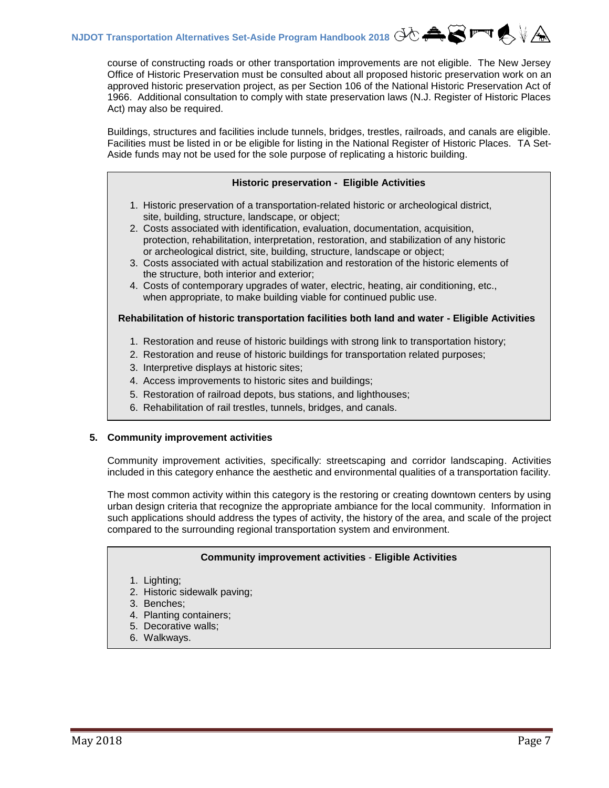course of constructing roads or other transportation improvements are not eligible. The New Jersey Office of Historic Preservation must be consulted about all proposed historic preservation work on an approved historic preservation project, as per Section 106 of the National Historic Preservation Act of 1966. Additional consultation to comply with state preservation laws (N.J. Register of Historic Places Act) may also be required.

Buildings, structures and facilities include tunnels, bridges, trestles, railroads, and canals are eligible. Facilities must be listed in or be eligible for listing in the National Register of Historic Places. TA Set-Aside funds may not be used for the sole purpose of replicating a historic building.

#### **Historic preservation - Eligible Activities**

- 1. Historic preservation of a transportation-related historic or archeological district, site, building, structure, landscape, or object;
- 2. Costs associated with identification, evaluation, documentation, acquisition, protection, rehabilitation, interpretation, restoration, and stabilization of any historic or archeological district, site, building, structure, landscape or object;
- 3. Costs associated with actual stabilization and restoration of the historic elements of the structure, both interior and exterior;
- 4. Costs of contemporary upgrades of water, electric, heating, air conditioning, etc., when appropriate, to make building viable for continued public use.

#### **Rehabilitation of historic transportation facilities both land and water - Eligible Activities**

- 1. Restoration and reuse of historic buildings with strong link to transportation history;
- 2. Restoration and reuse of historic buildings for transportation related purposes;
- 3. Interpretive displays at historic sites;
- 4. Access improvements to historic sites and buildings;
- 5. Restoration of railroad depots, bus stations, and lighthouses;
- 6. Rehabilitation of rail trestles, tunnels, bridges, and canals.

#### <span id="page-7-0"></span>**5. Community improvement activities**

Community improvement activities, specifically: streetscaping and corridor landscaping. Activities included in this category enhance the aesthetic and environmental qualities of a transportation facility.

The most common activity within this category is the restoring or creating downtown centers by using urban design criteria that recognize the appropriate ambiance for the local community. Information in such applications should address the types of activity, the history of the area, and scale of the project compared to the surrounding regional transportation system and environment.

#### **Community improvement activities** - **Eligible Activities**

- 1. Lighting;
- 2. Historic sidewalk paving;
- 3. Benches;
- 4. Planting containers;
- 5. Decorative walls;
- 6. Walkways.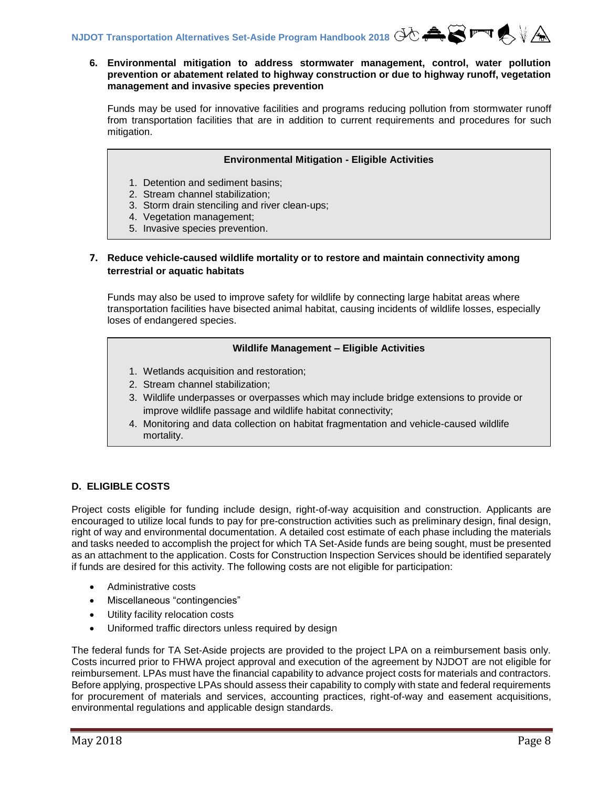#### **6. Environmental mitigation to address stormwater management, control, water pollution prevention or abatement related to highway construction or due to highway runoff, vegetation management and invasive species prevention**

Funds may be used for innovative facilities and programs reducing pollution from stormwater runoff from transportation facilities that are in addition to current requirements and procedures for such mitigation.

#### **Environmental Mitigation - Eligible Activities**

- 1. Detention and sediment basins;
- 2. Stream channel stabilization;
- 3. Storm drain stenciling and river clean-ups;
- 4. Vegetation management;
- 5. Invasive species prevention.

### **7. Reduce vehicle-caused wildlife mortality or to restore and maintain connectivity among terrestrial or aquatic habitats**

Funds may also be used to improve safety for wildlife by connecting large habitat areas where transportation facilities have bisected animal habitat, causing incidents of wildlife losses, especially loses of endangered species.

#### **Wildlife Management – Eligible Activities**

- 1. Wetlands acquisition and restoration;
- 2. Stream channel stabilization;
- 3. Wildlife underpasses or overpasses which may include bridge extensions to provide or improve wildlife passage and wildlife habitat connectivity;
- 4. Monitoring and data collection on habitat fragmentation and vehicle-caused wildlife mortality.

#### <span id="page-8-0"></span>**D. ELIGIBLE COSTS**

Project costs eligible for funding include design, right-of-way acquisition and construction. Applicants are encouraged to utilize local funds to pay for pre-construction activities such as preliminary design, final design, right of way and environmental documentation. A detailed cost estimate of each phase including the materials and tasks needed to accomplish the project for which TA Set-Aside funds are being sought, must be presented as an attachment to the application. Costs for Construction Inspection Services should be identified separately if funds are desired for this activity. The following costs are not eligible for participation:

- Administrative costs
- Miscellaneous "contingencies"
- Utility facility relocation costs
- Uniformed traffic directors unless required by design

The federal funds for TA Set-Aside projects are provided to the project LPA on a reimbursement basis only. Costs incurred prior to FHWA project approval and execution of the agreement by NJDOT are not eligible for reimbursement. LPAs must have the financial capability to advance project costs for materials and contractors. Before applying, prospective LPAs should assess their capability to comply with state and federal requirements for procurement of materials and services, accounting practices, right-of-way and easement acquisitions, environmental regulations and applicable design standards.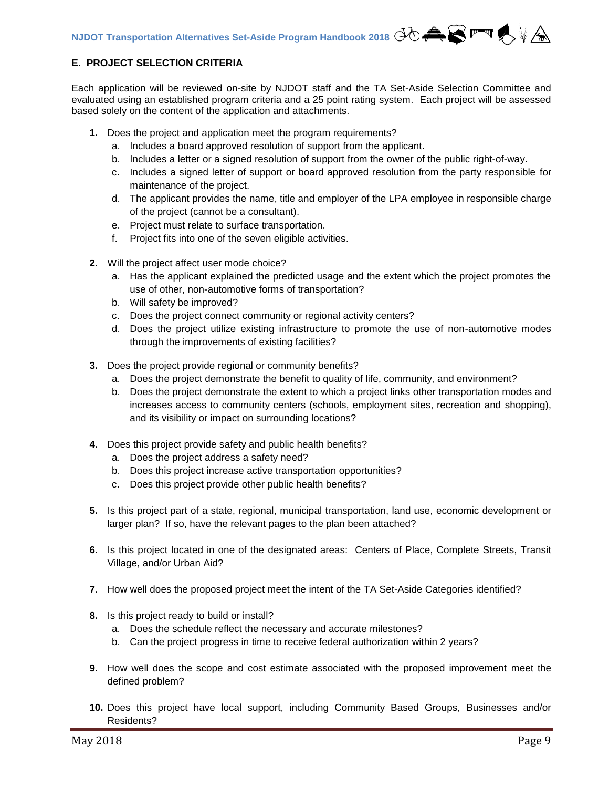# <span id="page-9-0"></span>**E. PROJECT SELECTION CRITERIA**

Each application will be reviewed on-site by NJDOT staff and the TA Set-Aside Selection Committee and evaluated using an established program criteria and a 25 point rating system. Each project will be assessed based solely on the content of the application and attachments.

- **1.** Does the project and application meet the program requirements?
	- a. Includes a board approved resolution of support from the applicant.
	- b. Includes a letter or a signed resolution of support from the owner of the public right-of-way.
	- c. Includes a signed letter of support or board approved resolution from the party responsible for maintenance of the project.
	- d. The applicant provides the name, title and employer of the LPA employee in responsible charge of the project (cannot be a consultant).
	- e. Project must relate to surface transportation.
	- f. Project fits into one of the seven eligible activities.
- **2.** Will the project affect user mode choice?
	- a. Has the applicant explained the predicted usage and the extent which the project promotes the use of other, non-automotive forms of transportation?
	- b. Will safety be improved?
	- c. Does the project connect community or regional activity centers?
	- d. Does the project utilize existing infrastructure to promote the use of non-automotive modes through the improvements of existing facilities?
- **3.** Does the project provide regional or community benefits?
	- a. Does the project demonstrate the benefit to quality of life, community, and environment?
	- b. Does the project demonstrate the extent to which a project links other transportation modes and increases access to community centers (schools, employment sites, recreation and shopping), and its visibility or impact on surrounding locations?
- **4.** Does this project provide safety and public health benefits?
	- a. Does the project address a safety need?
	- b. Does this project increase active transportation opportunities?
	- c. Does this project provide other public health benefits?
- **5.** Is this project part of a state, regional, municipal transportation, land use, economic development or larger plan? If so, have the relevant pages to the plan been attached?
- **6.** Is this project located in one of the designated areas: Centers of Place, Complete Streets, Transit Village, and/or Urban Aid?
- **7.** How well does the proposed project meet the intent of the TA Set-Aside Categories identified?
- **8.** Is this project ready to build or install?
	- a. Does the schedule reflect the necessary and accurate milestones?
	- b. Can the project progress in time to receive federal authorization within 2 years?
- **9.** How well does the scope and cost estimate associated with the proposed improvement meet the defined problem?
- **10.** Does this project have local support, including Community Based Groups, Businesses and/or Residents?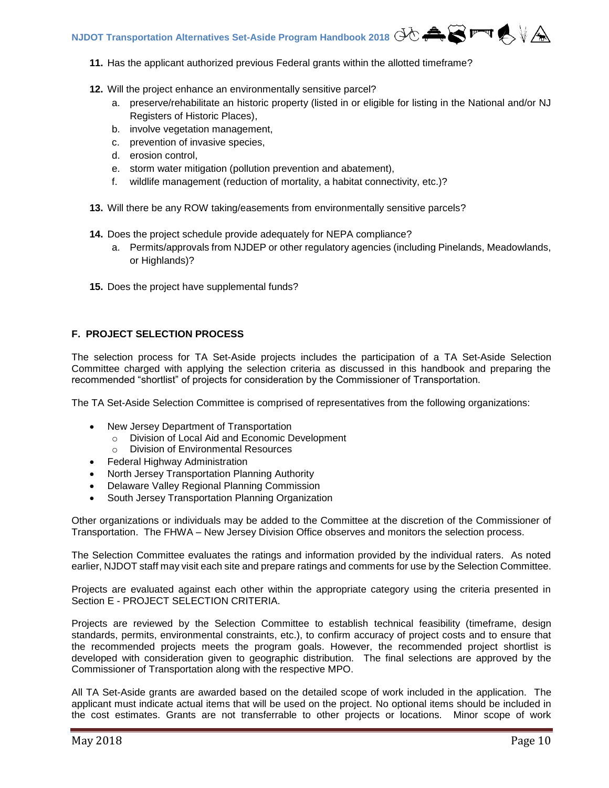- **11.** Has the applicant authorized previous Federal grants within the allotted timeframe?
- **12.** Will the project enhance an environmentally sensitive parcel?
	- a. preserve/rehabilitate an historic property (listed in or eligible for listing in the National and/or NJ Registers of Historic Places),
	- b. involve vegetation management,
	- c. prevention of invasive species,
	- d. erosion control,
	- e. storm water mitigation (pollution prevention and abatement),
	- f. wildlife management (reduction of mortality, a habitat connectivity, etc.)?
- **13.** Will there be any ROW taking/easements from environmentally sensitive parcels?
- **14.** Does the project schedule provide adequately for NEPA compliance?
	- a. Permits/approvals from NJDEP or other regulatory agencies (including Pinelands, Meadowlands, or Highlands)?
- **15.** Does the project have supplemental funds?

# <span id="page-10-0"></span>**F. PROJECT SELECTION PROCESS**

The selection process for TA Set-Aside projects includes the participation of a TA Set-Aside Selection Committee charged with applying the selection criteria as discussed in this handbook and preparing the recommended "shortlist" of projects for consideration by the Commissioner of Transportation.

The TA Set-Aside Selection Committee is comprised of representatives from the following organizations:

- New Jersey Department of Transportation
	- o Division of Local Aid and Economic Development
	- o Division of Environmental Resources
- Federal Highway Administration
- North Jersey Transportation Planning Authority
- Delaware Valley Regional Planning Commission
- South Jersey Transportation Planning Organization

Other organizations or individuals may be added to the Committee at the discretion of the Commissioner of Transportation. The FHWA – New Jersey Division Office observes and monitors the selection process.

The Selection Committee evaluates the ratings and information provided by the individual raters. As noted earlier, NJDOT staff may visit each site and prepare ratings and comments for use by the Selection Committee.

Projects are evaluated against each other within the appropriate category using the criteria presented in Section E - PROJECT SELECTION CRITERIA.

Projects are reviewed by the Selection Committee to establish technical feasibility (timeframe, design standards, permits, environmental constraints, etc.), to confirm accuracy of project costs and to ensure that the recommended projects meets the program goals. However, the recommended project shortlist is developed with consideration given to geographic distribution. The final selections are approved by the Commissioner of Transportation along with the respective MPO.

All TA Set-Aside grants are awarded based on the detailed scope of work included in the application. The applicant must indicate actual items that will be used on the project. No optional items should be included in the cost estimates. Grants are not transferrable to other projects or locations. Minor scope of work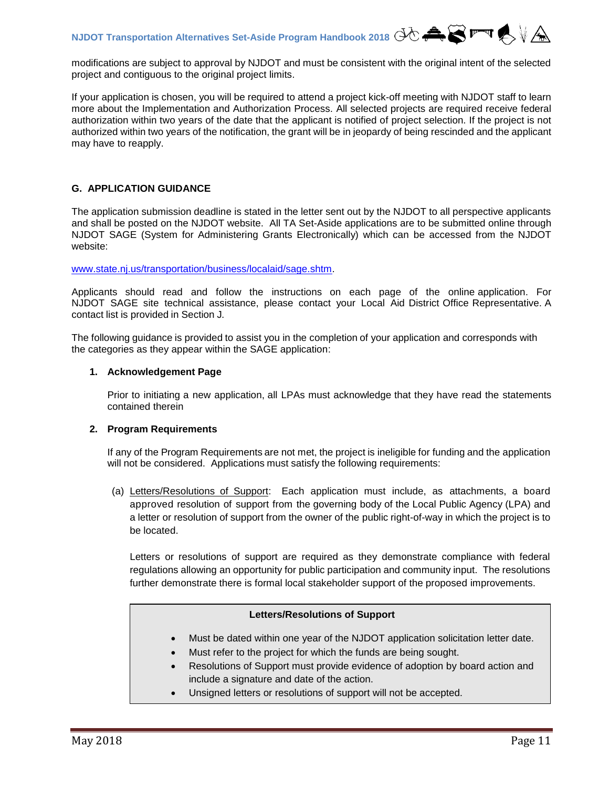modifications are subject to approval by NJDOT and must be consistent with the original intent of the selected project and contiguous to the original project limits.

If your application is chosen, you will be required to attend a project kick-off meeting with NJDOT staff to learn more about the Implementation and Authorization Process. All selected projects are required receive federal authorization within two years of the date that the applicant is notified of project selection. If the project is not authorized within two years of the notification, the grant will be in jeopardy of being rescinded and the applicant may have to reapply.

# <span id="page-11-0"></span>**G. APPLICATION GUIDANCE**

The application submission deadline is stated in the letter sent out by the NJDOT to all perspective applicants and shall be posted on the NJDOT website. All TA Set-Aside applications are to be submitted online through NJDOT SAGE (System for Administering Grants Electronically) which can be accessed from the NJDOT website:

[www.state.nj.us/transportation/business/localaid/sage.shtm.](http://www.state.nj.us/transportation/business/localaid/sage.shtm)

Applicants should read and follow the instructions on each page of the online application. For NJDOT SAGE site technical assistance, please contact your Local Aid District Office Representative. A contact list is provided in Section J.

The following guidance is provided to assist you in the completion of your application and corresponds with the categories as they appear within the SAGE application:

#### <span id="page-11-1"></span>**1. Acknowledgement Page**

Prior to initiating a new application, all LPAs must acknowledge that they have read the statements contained therein

#### <span id="page-11-2"></span>**2. Program Requirements**

If any of the Program Requirements are not met, the project is ineligible for funding and the application will not be considered.Applications must satisfy the following requirements:

(a) Letters/Resolutions of Support: Each application must include, as attachments, a board approved resolution of support from the governing body of the Local Public Agency (LPA) and a letter or resolution of support from the owner of the public right-of-way in which the project is to be located.

Letters or resolutions of support are required as they demonstrate compliance with federal regulations allowing an opportunity for public participation and community input. The resolutions further demonstrate there is formal local stakeholder support of the proposed improvements.

#### **Letters/Resolutions of Support**

- Must be dated within one year of the NJDOT application solicitation letter date.
- Must refer to the project for which the funds are being sought.
- Resolutions of Support must provide evidence of adoption by board action and include a signature and date of the action.
- Unsigned letters or resolutions of support will not be accepted.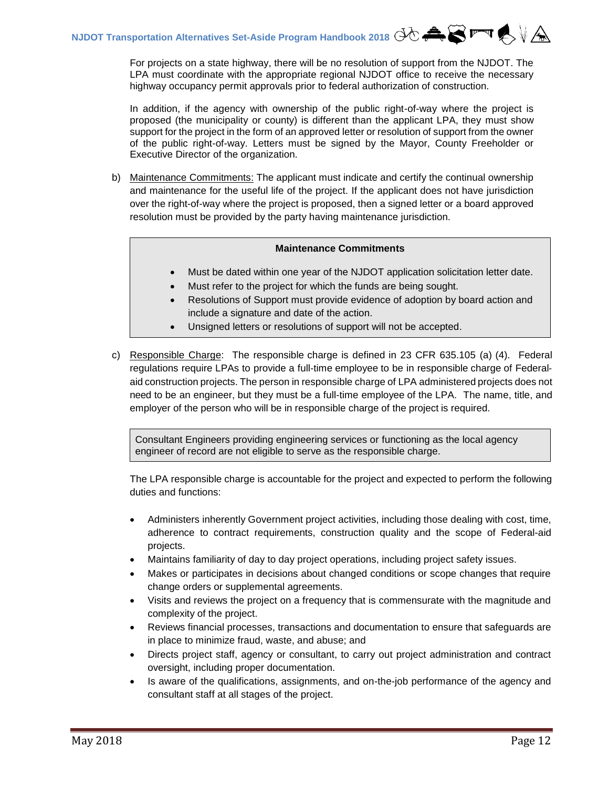For projects on a state highway, there will be no resolution of support from the NJDOT. The LPA must coordinate with the appropriate regional NJDOT office to receive the necessary highway occupancy permit approvals prior to federal authorization of construction.

In addition, if the agency with ownership of the public right-of-way where the project is proposed (the municipality or county) is different than the applicant LPA, they must show support for the project in the form of an approved letter or resolution of support from the owner of the public right-of-way. Letters must be signed by the Mayor, County Freeholder or Executive Director of the organization.

b) Maintenance Commitments: The applicant must indicate and certify the continual ownership and maintenance for the useful life of the project. If the applicant does not have jurisdiction over the right-of-way where the project is proposed, then a signed letter or a board approved resolution must be provided by the party having maintenance jurisdiction.

### **Maintenance Commitments**

- Must be dated within one year of the NJDOT application solicitation letter date.
- Must refer to the project for which the funds are being sought.
- Resolutions of Support must provide evidence of adoption by board action and include a signature and date of the action.
- Unsigned letters or resolutions of support will not be accepted.
- c) Responsible Charge: The responsible charge is defined in 23 CFR 635.105 (a) (4). Federal regulations require LPAs to provide a full‐time employee to be in responsible charge of Federal‐ aid construction projects. The person in responsible charge of LPA administered projects does not need to be an engineer, but they must be a full-time employee of the LPA. The name, title, and employer of the person who will be in responsible charge of the project is required.

Consultant Engineers providing engineering services or functioning as the local agency engineer of record are not eligible to serve as the responsible charge.

The LPA responsible charge is accountable for the project and expected to perform the following duties and functions:

- Administers inherently Government project activities, including those dealing with cost, time, adherence to contract requirements, construction quality and the scope of Federal-aid projects.
- Maintains familiarity of day to day project operations, including project safety issues.
- Makes or participates in decisions about changed conditions or scope changes that require change orders or supplemental agreements.
- Visits and reviews the project on a frequency that is commensurate with the magnitude and complexity of the project.
- Reviews financial processes, transactions and documentation to ensure that safeguards are in place to minimize fraud, waste, and abuse; and
- Directs project staff, agency or consultant, to carry out project administration and contract oversight, including proper documentation.
- Is aware of the qualifications, assignments, and on-the-job performance of the agency and consultant staff at all stages of the project.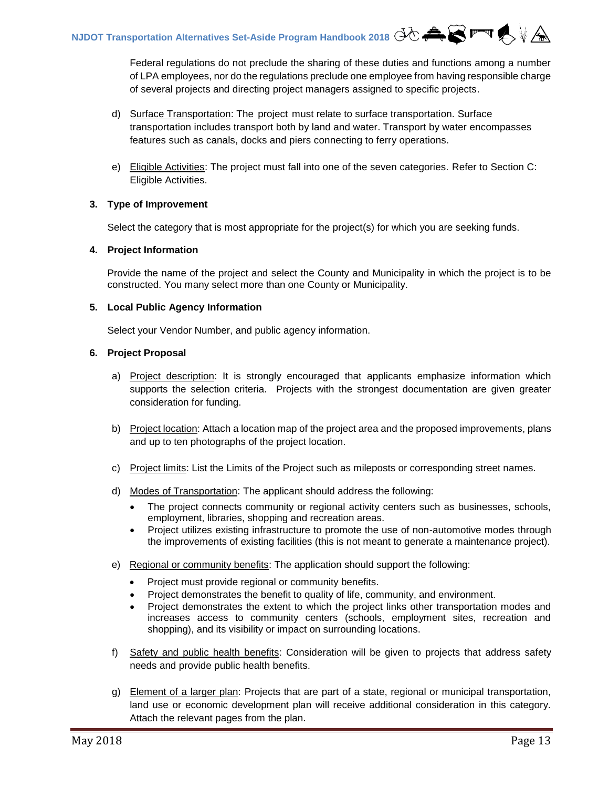Federal regulations do not preclude the sharing of these duties and functions among a number of LPA employees, nor do the regulations preclude one employee from having responsible charge of several projects and directing project managers assigned to specific projects.

- d) Surface Transportation: The project must relate to surface transportation. Surface transportation includes transport both by land and water. Transport by water encompasses features such as canals, docks and piers connecting to ferry operations.
- e) Eligible Activities: The project must fall into one of the seven categories. Refer to Section C: Eligible Activities.

# <span id="page-13-0"></span>**3. Type of Improvement**

Select the category that is most appropriate for the project(s) for which you are seeking funds.

### <span id="page-13-1"></span>**4. Project Information**

Provide the name of the project and select the County and Municipality in which the project is to be constructed. You many select more than one County or Municipality.

### <span id="page-13-2"></span>**5. Local Public Agency Information**

Select your Vendor Number, and public agency information.

### <span id="page-13-3"></span>**6. Project Proposal**

- a) Project description: It is strongly encouraged that applicants emphasize information which supports the selection criteria. Projects with the strongest documentation are given greater consideration for funding.
- b) Project location: Attach a location map of the project area and the proposed improvements, plans and up to ten photographs of the project location.
- c) Project limits: List the Limits of the Project such as mileposts or corresponding street names.
- d) Modes of Transportation: The applicant should address the following:
	- The project connects community or regional activity centers such as businesses, schools, employment, libraries, shopping and recreation areas.
	- Project utilizes existing infrastructure to promote the use of non-automotive modes through the improvements of existing facilities (this is not meant to generate a maintenance project).
- e) Regional or community benefits: The application should support the following:
	- Project must provide regional or community benefits.
	- Project demonstrates the benefit to quality of life, community, and environment.
	- Project demonstrates the extent to which the project links other transportation modes and increases access to community centers (schools, employment sites, recreation and shopping), and its visibility or impact on surrounding locations.
- f) Safety and public health benefits: Consideration will be given to projects that address safety needs and provide public health benefits.
- g) Element of a larger plan: Projects that are part of a state, regional or municipal transportation, land use or economic development plan will receive additional consideration in this category. Attach the relevant pages from the plan.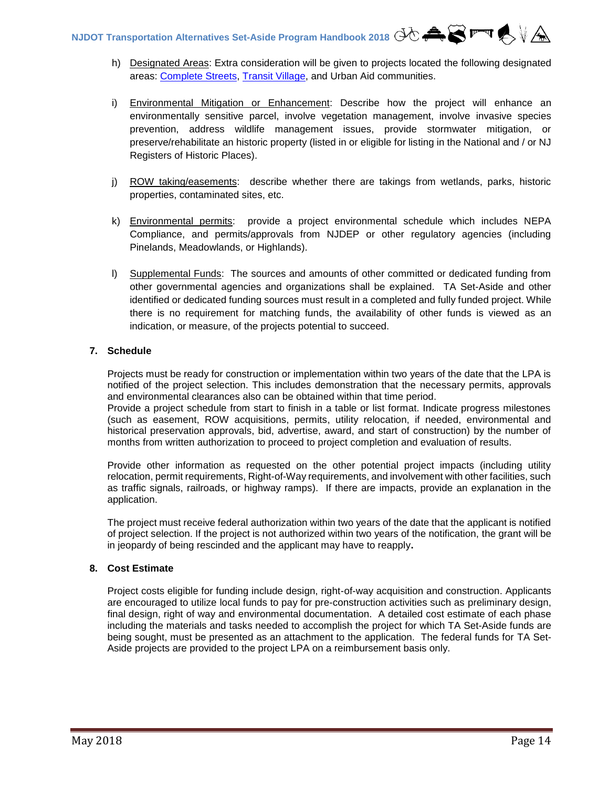- h) Designated Areas: Extra consideration will be given to projects located the following designated areas: [Complete Streets,](http://njbikeped.org/complete-streets-2/) [Transit Village,](http://www.state.nj.us/transportation/community/village/faq.shtm) and Urban Aid communities.
- i) Environmental Mitigation or Enhancement: Describe how the project will enhance an environmentally sensitive parcel, involve vegetation management, involve invasive species prevention, address wildlife management issues, provide stormwater mitigation, or preserve/rehabilitate an historic property (listed in or eligible for listing in the National and / or NJ Registers of Historic Places).
- j) ROW taking/easements: describe whether there are takings from wetlands, parks, historic properties, contaminated sites, etc.
- k) Environmental permits: provide a project environmental schedule which includes NEPA Compliance, and permits/approvals from NJDEP or other regulatory agencies (including Pinelands, Meadowlands, or Highlands).
- l) Supplemental Funds: The sources and amounts of other committed or dedicated funding from other governmental agencies and organizations shall be explained. TA Set-Aside and other identified or dedicated funding sources must result in a completed and fully funded project. While there is no requirement for matching funds, the availability of other funds is viewed as an indication, or measure, of the projects potential to succeed.

# <span id="page-14-0"></span>**7. Schedule**

Projects must be ready for construction or implementation within two years of the date that the LPA is notified of the project selection. This includes demonstration that the necessary permits, approvals and environmental clearances also can be obtained within that time period.

Provide a project schedule from start to finish in a table or list format. Indicate progress milestones (such as easement, ROW acquisitions, permits, utility relocation, if needed, environmental and historical preservation approvals, bid, advertise, award, and start of construction) by the number of months from written authorization to proceed to project completion and evaluation of results.

Provide other information as requested on the other potential project impacts (including utility relocation, permit requirements, Right-of-Way requirements, and involvement with other facilities, such as traffic signals, railroads, or highway ramps). If there are impacts, provide an explanation in the application.

The project must receive federal authorization within two years of the date that the applicant is notified of project selection. If the project is not authorized within two years of the notification, the grant will be in jeopardy of being rescinded and the applicant may have to reapply**.**

# <span id="page-14-1"></span>**8. Cost Estimate**

Project costs eligible for funding include design, right-of-way acquisition and construction. Applicants are encouraged to utilize local funds to pay for pre-construction activities such as preliminary design, final design, right of way and environmental documentation. A detailed cost estimate of each phase including the materials and tasks needed to accomplish the project for which TA Set-Aside funds are being sought, must be presented as an attachment to the application. The federal funds for TA Set-Aside projects are provided to the project LPA on a reimbursement basis only.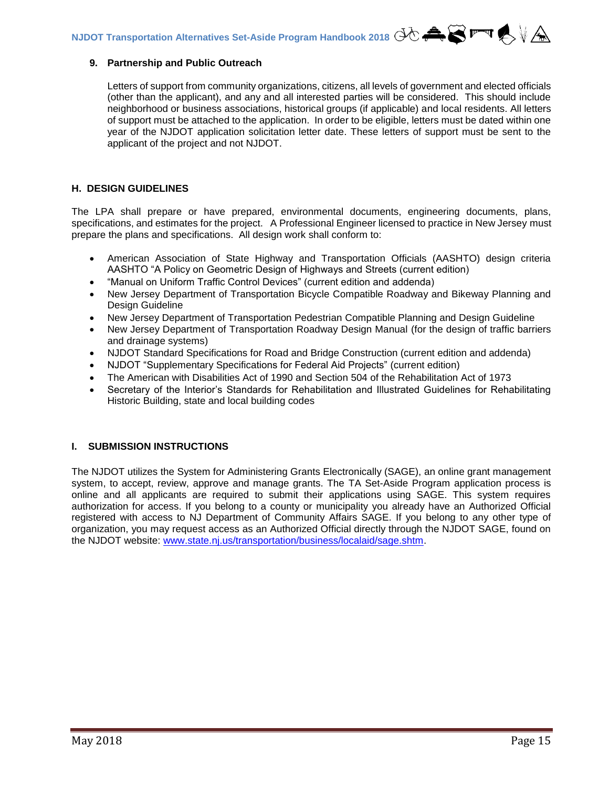#### <span id="page-15-0"></span>**9. Partnership and Public Outreach**

Letters of support from community organizations, citizens, all levels of government and elected officials (other than the applicant), and any and all interested parties will be considered. This should include neighborhood or business associations, historical groups (if applicable) and local residents. All letters of support must be attached to the application. In order to be eligible, letters must be dated within one year of the NJDOT application solicitation letter date. These letters of support must be sent to the applicant of the project and not NJDOT.

#### <span id="page-15-1"></span>**H. DESIGN GUIDELINES**

The LPA shall prepare or have prepared, environmental documents, engineering documents, plans, specifications, and estimates for the project. A Professional Engineer licensed to practice in New Jersey must prepare the plans and specifications. All design work shall conform to:

- American Association of State Highway and Transportation Officials (AASHTO) design criteria AASHTO "A Policy on Geometric Design of Highways and Streets (current edition)
- "Manual on Uniform Traffic Control Devices" (current edition and addenda)
- New Jersey Department of Transportation Bicycle Compatible Roadway and Bikeway Planning and Design Guideline
- New Jersey Department of Transportation Pedestrian Compatible Planning and Design Guideline
- New Jersey Department of Transportation Roadway Design Manual (for the design of traffic barriers and drainage systems)
- NJDOT Standard Specifications for Road and Bridge Construction (current edition and addenda)
- NJDOT "Supplementary Specifications for Federal Aid Projects" (current edition)
- The American with Disabilities Act of 1990 and Section 504 of the Rehabilitation Act of 1973
- Secretary of the Interior's Standards for Rehabilitation and Illustrated Guidelines for Rehabilitating Historic Building, state and local building codes

# <span id="page-15-2"></span>**I. SUBMISSION INSTRUCTIONS**

<span id="page-15-3"></span>The NJDOT utilizes the System for Administering Grants Electronically (SAGE), an online grant management system, to accept, review, approve and manage grants. The TA Set-Aside Program application process is online and all applicants are required to submit their applications using SAGE. This system requires authorization for access. If you belong to a county or municipality you already have an Authorized Official registered with access to NJ Department of Community Affairs SAGE. If you belong to any other type of organization, you may request access as an Authorized Official directly through the NJDOT SAGE, found on the NJDOT website: [www.state.nj.us/transportation/business/localaid/sage.shtm.](http://www.state.nj.us/transportation/business/localaid/sage.shtm)